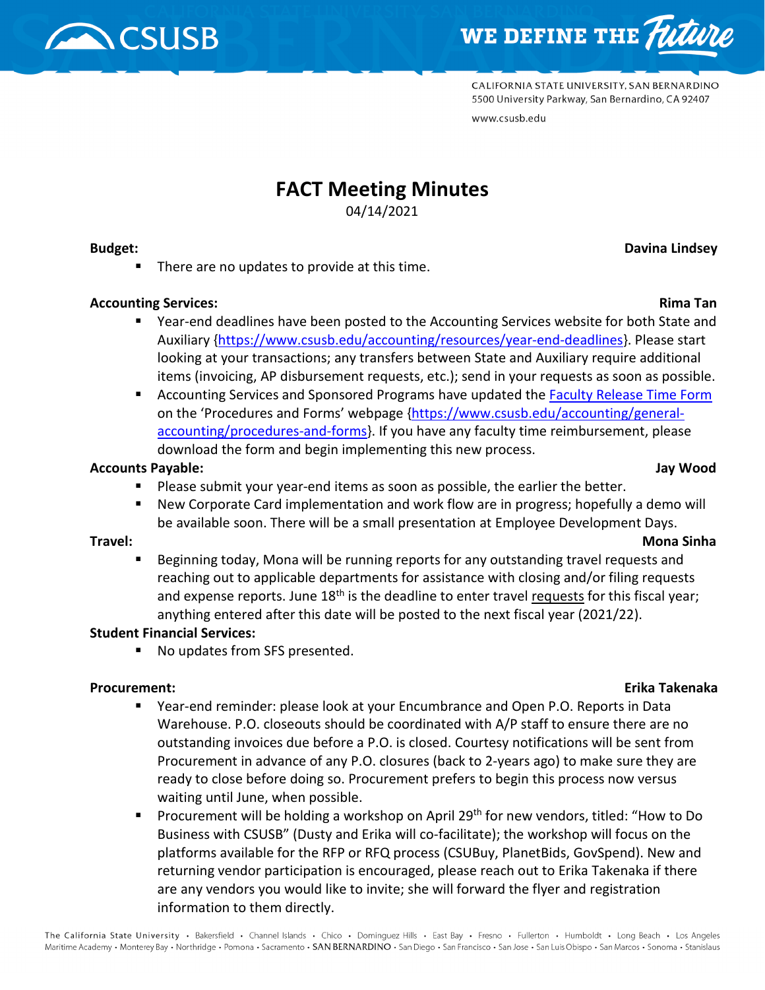



CALIFORNIA STATE UNIVERSITY, SAN BERNARDINO 5500 University Parkway, San Bernardino, CA 92407 www.csusb.edu

# **FACT Meeting Minutes**

04/14/2021

#### **Budget:** Davina Lindsey

■ There are no updates to provide at this time.

### **Accounting Services:** Rima Tan

- Year-end deadlines have been posted to the Accounting Services website for both State and Auxiliary [{https://www.csusb.edu/accounting/resources/year-end-deadlines}](https://www.csusb.edu/accounting/resources/year-end-deadlines). Please start looking at your transactions; any transfers between State and Auxiliary require additional items (invoicing, AP disbursement requests, etc.); send in your requests as soon as possible.
- Accounting Services and Sponsored Programs have updated th[e Faculty Release Time Form](https://www.csusb.edu/sites/default/files/Faculty%20Release%20Time%20Form.pdf) on the 'Procedures and Forms' webpage [{https://www.csusb.edu/accounting/general](https://www.csusb.edu/accounting/general-accounting/procedures-and-forms)[accounting/procedures-and-forms}](https://www.csusb.edu/accounting/general-accounting/procedures-and-forms). If you have any faculty time reimbursement, please download the form and begin implementing this new process.

### **Accounts Payable: Jay Wood**

- **Please submit your year-end items as soon as possible, the earlier the better.**
- New Corporate Card implementation and work flow are in progress; hopefully a demo will be available soon. There will be a small presentation at Employee Development Days.

### **Travel: Mona Sinha**

 Beginning today, Mona will be running reports for any outstanding travel requests and reaching out to applicable departments for assistance with closing and/or filing requests and expense reports. June  $18<sup>th</sup>$  is the deadline to enter travel requests for this fiscal year; anything entered after this date will be posted to the next fiscal year (2021/22).

#### **Student Financial Services:**

■ No updates from SFS presented.

#### **Procurement: Erika Takenaka**

- Year-end reminder: please look at your Encumbrance and Open P.O. Reports in Data Warehouse. P.O. closeouts should be coordinated with A/P staff to ensure there are no outstanding invoices due before a P.O. is closed. Courtesy notifications will be sent from Procurement in advance of any P.O. closures (back to 2-years ago) to make sure they are ready to close before doing so. Procurement prefers to begin this process now versus waiting until June, when possible.
- **Procurement will be holding a workshop on April 29<sup>th</sup> for new vendors, titled: "How to Do**  $\overline{a}$ Business with CSUSB" (Dusty and Erika will co-facilitate); the workshop will focus on the platforms available for the RFP or RFQ process (CSUBuy, PlanetBids, GovSpend). New and returning vendor participation is encouraged, please reach out to Erika Takenaka if there are any vendors you would like to invite; she will forward the flyer and registration information to them directly.

#### The California State University · Bakersfield · Channel Islands · Chico · Dominquez Hills · East Bay · Fresno · Fullerton · Humboldt · Long Beach · Los Angeles Maritime Academy • Monterey Bay • Northridge • Pomona • Sacramento • SAN BERNARDINO • San Diego • San Francisco • San Jose • San Luis Obispo • San Marcos • Sonoma • Stanislaus